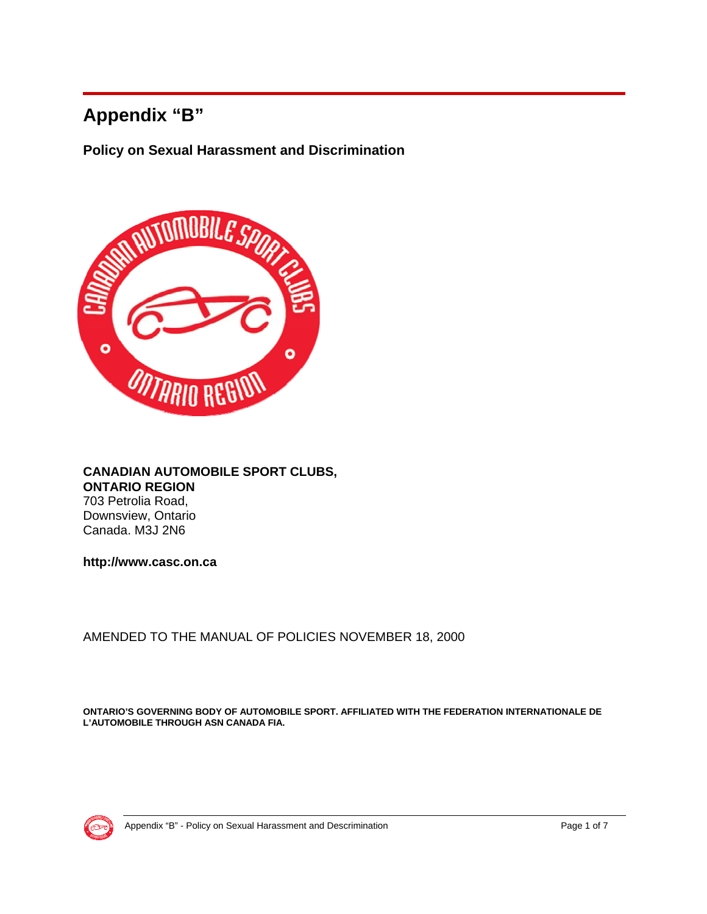# **Appendix "B"**

**Policy on Sexual Harassment and Discrimination** 



#### **CANADIAN AUTOMOBILE SPORT CLUBS, ONTARIO REGION** 703 Petrolia Road, Downsview, Ontario Canada. M3J 2N6

**http://www.casc.on.ca** 

AMENDED TO THE MANUAL OF POLICIES NOVEMBER 18, 2000

**ONTARIO'S GOVERNING BODY OF AUTOMOBILE SPORT. AFFILIATED WITH THE FEDERATION INTERNATIONALE DE L'AUTOMOBILE THROUGH ASN CANADA FIA.**

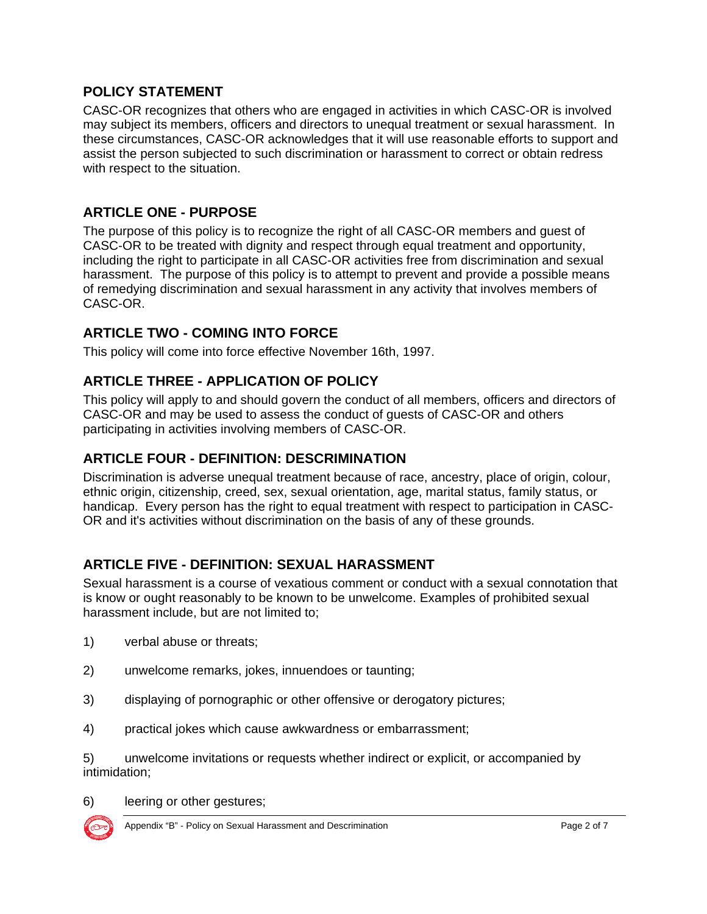#### **POLICY STATEMENT**

CASC-OR recognizes that others who are engaged in activities in which CASC-OR is involved may subject its members, officers and directors to unequal treatment or sexual harassment. In these circumstances, CASC-OR acknowledges that it will use reasonable efforts to support and assist the person subjected to such discrimination or harassment to correct or obtain redress with respect to the situation.

#### **ARTICLE ONE - PURPOSE**

The purpose of this policy is to recognize the right of all CASC-OR members and guest of CASC-OR to be treated with dignity and respect through equal treatment and opportunity, including the right to participate in all CASC-OR activities free from discrimination and sexual harassment. The purpose of this policy is to attempt to prevent and provide a possible means of remedying discrimination and sexual harassment in any activity that involves members of CASC-OR.

#### **ARTICLE TWO - COMING INTO FORCE**

This policy will come into force effective November 16th, 1997.

#### **ARTICLE THREE - APPLICATION OF POLICY**

This policy will apply to and should govern the conduct of all members, officers and directors of CASC-OR and may be used to assess the conduct of guests of CASC-OR and others participating in activities involving members of CASC-OR.

#### **ARTICLE FOUR - DEFINITION: DESCRIMINATION**

Discrimination is adverse unequal treatment because of race, ancestry, place of origin, colour, ethnic origin, citizenship, creed, sex, sexual orientation, age, marital status, family status, or handicap. Every person has the right to equal treatment with respect to participation in CASC-OR and it's activities without discrimination on the basis of any of these grounds.

### **ARTICLE FIVE - DEFINITION: SEXUAL HARASSMENT**

Sexual harassment is a course of vexatious comment or conduct with a sexual connotation that is know or ought reasonably to be known to be unwelcome. Examples of prohibited sexual harassment include, but are not limited to;

- 1) verbal abuse or threats;
- 2) unwelcome remarks, jokes, innuendoes or taunting;
- 3) displaying of pornographic or other offensive or derogatory pictures;
- 4) practical jokes which cause awkwardness or embarrassment;

5) unwelcome invitations or requests whether indirect or explicit, or accompanied by intimidation;

6) leering or other gestures;



Appendix "B" - Policy on Sexual Harassment and Descrimination **Page 2 of 7** Page 2 of 7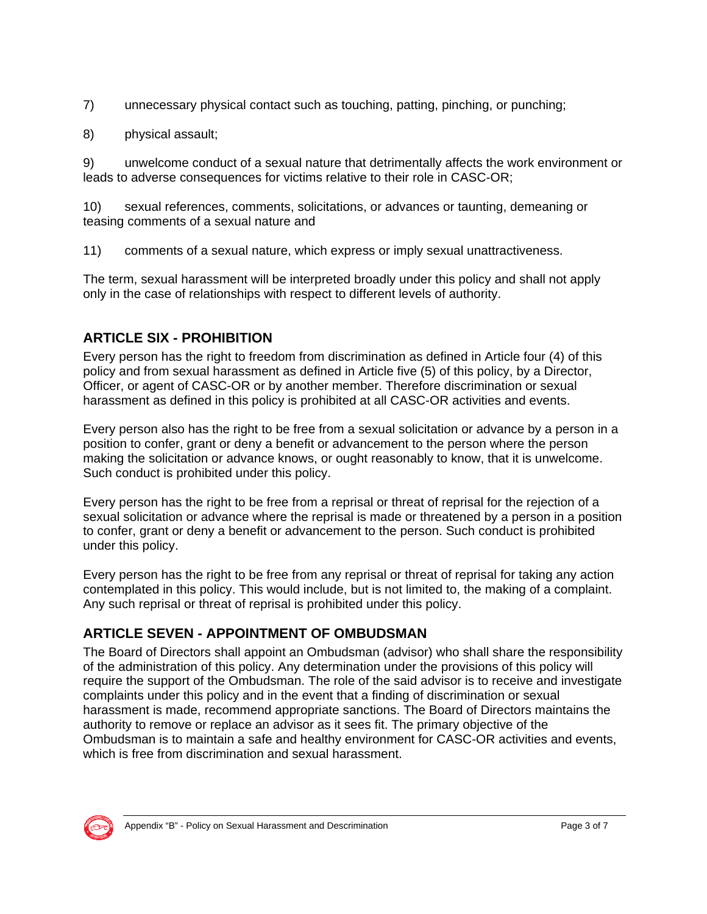- 7) unnecessary physical contact such as touching, patting, pinching, or punching;
- 8) physical assault;

9) unwelcome conduct of a sexual nature that detrimentally affects the work environment or leads to adverse consequences for victims relative to their role in CASC-OR;

10) sexual references, comments, solicitations, or advances or taunting, demeaning or teasing comments of a sexual nature and

11) comments of a sexual nature, which express or imply sexual unattractiveness.

The term, sexual harassment will be interpreted broadly under this policy and shall not apply only in the case of relationships with respect to different levels of authority.

# **ARTICLE SIX - PROHIBITION**

Every person has the right to freedom from discrimination as defined in Article four (4) of this policy and from sexual harassment as defined in Article five (5) of this policy, by a Director, Officer, or agent of CASC-OR or by another member. Therefore discrimination or sexual harassment as defined in this policy is prohibited at all CASC-OR activities and events.

Every person also has the right to be free from a sexual solicitation or advance by a person in a position to confer, grant or deny a benefit or advancement to the person where the person making the solicitation or advance knows, or ought reasonably to know, that it is unwelcome. Such conduct is prohibited under this policy.

Every person has the right to be free from a reprisal or threat of reprisal for the rejection of a sexual solicitation or advance where the reprisal is made or threatened by a person in a position to confer, grant or deny a benefit or advancement to the person. Such conduct is prohibited under this policy.

Every person has the right to be free from any reprisal or threat of reprisal for taking any action contemplated in this policy. This would include, but is not limited to, the making of a complaint. Any such reprisal or threat of reprisal is prohibited under this policy.

### **ARTICLE SEVEN - APPOINTMENT OF OMBUDSMAN**

The Board of Directors shall appoint an Ombudsman (advisor) who shall share the responsibility of the administration of this policy. Any determination under the provisions of this policy will require the support of the Ombudsman. The role of the said advisor is to receive and investigate complaints under this policy and in the event that a finding of discrimination or sexual harassment is made, recommend appropriate sanctions. The Board of Directors maintains the authority to remove or replace an advisor as it sees fit. The primary objective of the Ombudsman is to maintain a safe and healthy environment for CASC-OR activities and events, which is free from discrimination and sexual harassment.

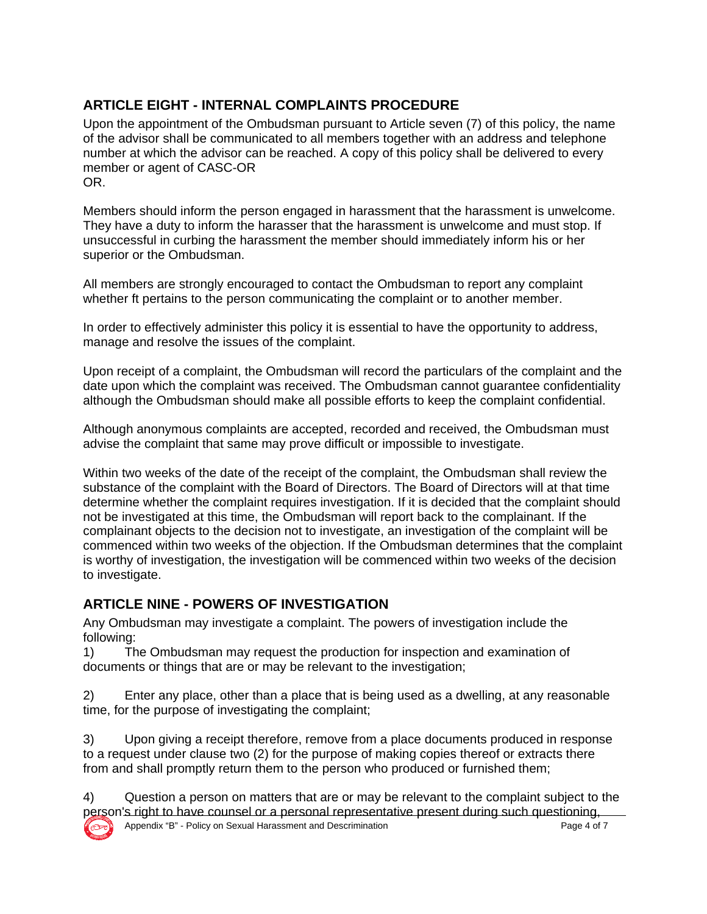## **ARTICLE EIGHT - INTERNAL COMPLAINTS PROCEDURE**

Upon the appointment of the Ombudsman pursuant to Article seven (7) of this policy, the name of the advisor shall be communicated to all members together with an address and telephone number at which the advisor can be reached. A copy of this policy shall be delivered to every member or agent of CASC-OR OR.

Members should inform the person engaged in harassment that the harassment is unwelcome. They have a duty to inform the harasser that the harassment is unwelcome and must stop. If unsuccessful in curbing the harassment the member should immediately inform his or her superior or the Ombudsman.

All members are strongly encouraged to contact the Ombudsman to report any complaint whether ft pertains to the person communicating the complaint or to another member.

In order to effectively administer this policy it is essential to have the opportunity to address, manage and resolve the issues of the complaint.

Upon receipt of a complaint, the Ombudsman will record the particulars of the complaint and the date upon which the complaint was received. The Ombudsman cannot guarantee confidentiality although the Ombudsman should make all possible efforts to keep the complaint confidential.

Although anonymous complaints are accepted, recorded and received, the Ombudsman must advise the complaint that same may prove difficult or impossible to investigate.

Within two weeks of the date of the receipt of the complaint, the Ombudsman shall review the substance of the complaint with the Board of Directors. The Board of Directors will at that time determine whether the complaint requires investigation. If it is decided that the complaint should not be investigated at this time, the Ombudsman will report back to the complainant. If the complainant objects to the decision not to investigate, an investigation of the complaint will be commenced within two weeks of the objection. If the Ombudsman determines that the complaint is worthy of investigation, the investigation will be commenced within two weeks of the decision to investigate.

### **ARTICLE NINE - POWERS OF INVESTIGATION**

Any Ombudsman may investigate a complaint. The powers of investigation include the following:

1) The Ombudsman may request the production for inspection and examination of documents or things that are or may be relevant to the investigation;

2) Enter any place, other than a place that is being used as a dwelling, at any reasonable time, for the purpose of investigating the complaint;

3) Upon giving a receipt therefore, remove from a place documents produced in response to a request under clause two (2) for the purpose of making copies thereof or extracts there from and shall promptly return them to the person who produced or furnished them;

4) Question a person on matters that are or may be relevant to the complaint subject to the person's right to have counsel or a personal representative present during such questioning,

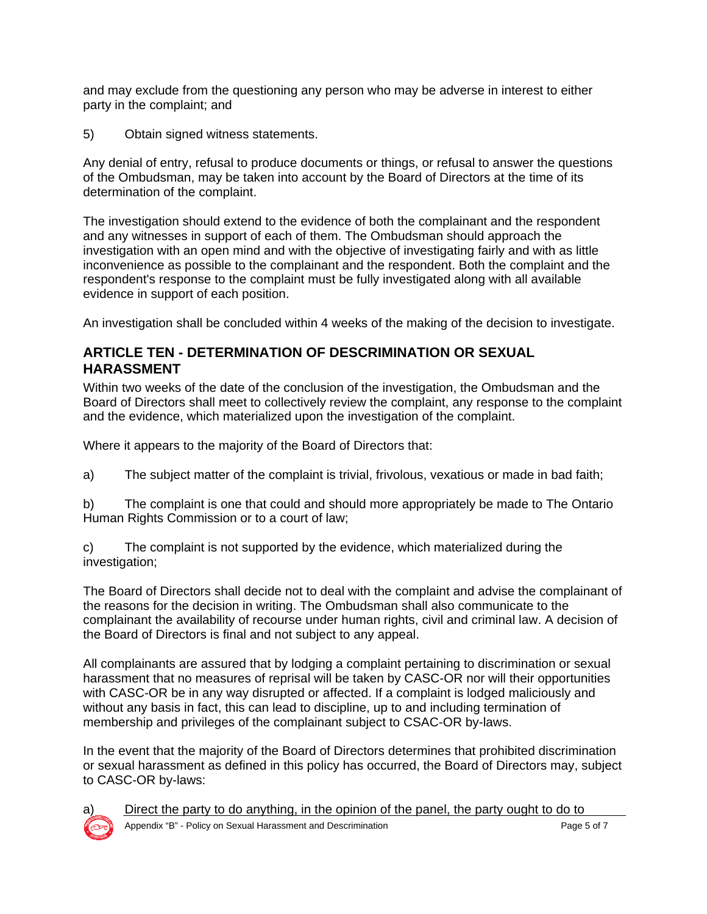and may exclude from the questioning any person who may be adverse in interest to either party in the complaint; and

5) Obtain signed witness statements.

Any denial of entry, refusal to produce documents or things, or refusal to answer the questions of the Ombudsman, may be taken into account by the Board of Directors at the time of its determination of the complaint.

The investigation should extend to the evidence of both the complainant and the respondent and any witnesses in support of each of them. The Ombudsman should approach the investigation with an open mind and with the objective of investigating fairly and with as little inconvenience as possible to the complainant and the respondent. Both the complaint and the respondent's response to the complaint must be fully investigated along with all available evidence in support of each position.

An investigation shall be concluded within 4 weeks of the making of the decision to investigate.

#### **ARTICLE TEN - DETERMINATION OF DESCRIMINATION OR SEXUAL HARASSMENT**

Within two weeks of the date of the conclusion of the investigation, the Ombudsman and the Board of Directors shall meet to collectively review the complaint, any response to the complaint and the evidence, which materialized upon the investigation of the complaint.

Where it appears to the majority of the Board of Directors that:

a) The subject matter of the complaint is trivial, frivolous, vexatious or made in bad faith;

b) The complaint is one that could and should more appropriately be made to The Ontario Human Rights Commission or to a court of law:

c) The complaint is not supported by the evidence, which materialized during the investigation;

The Board of Directors shall decide not to deal with the complaint and advise the complainant of the reasons for the decision in writing. The Ombudsman shall also communicate to the complainant the availability of recourse under human rights, civil and criminal law. A decision of the Board of Directors is final and not subject to any appeal.

All complainants are assured that by lodging a complaint pertaining to discrimination or sexual harassment that no measures of reprisal will be taken by CASC-OR nor will their opportunities with CASC-OR be in any way disrupted or affected. If a complaint is lodged maliciously and without any basis in fact, this can lead to discipline, up to and including termination of membership and privileges of the complainant subject to CSAC-OR by-laws.

In the event that the majority of the Board of Directors determines that prohibited discrimination or sexual harassment as defined in this policy has occurred, the Board of Directors may, subject to CASC-OR by-laws:



Direct the party to do anything, in the opinion of the panel, the party ought to do to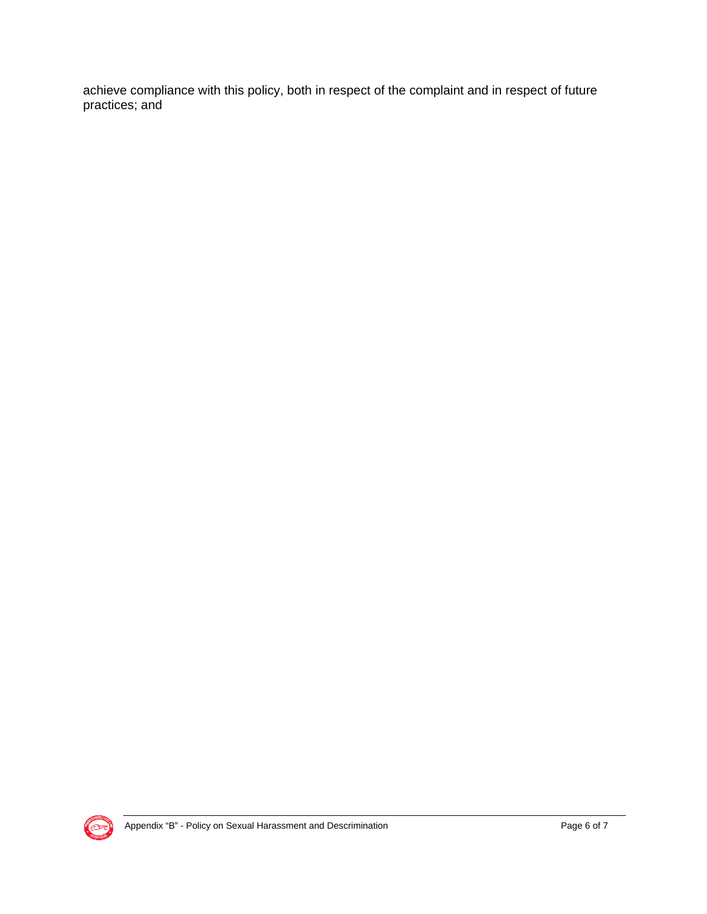achieve compliance with this policy, both in respect of the complaint and in respect of future practices; and